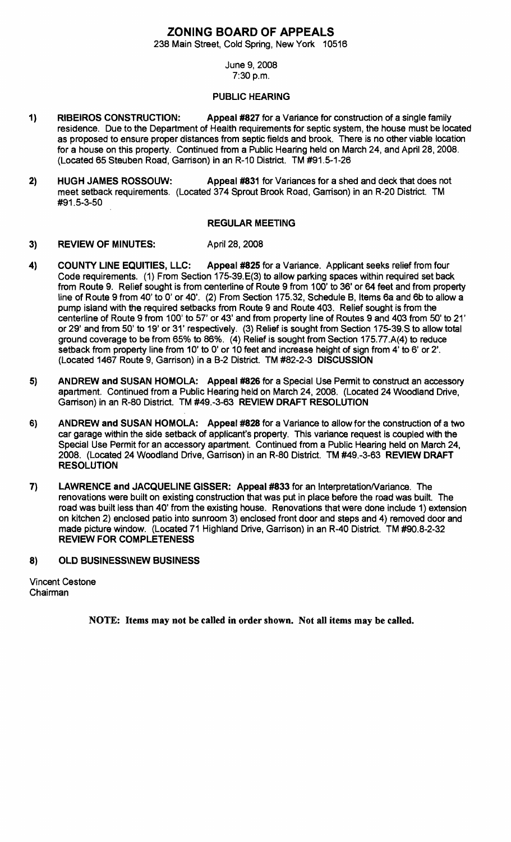## **ZONING BOARD OF APPEALS**

238 Main Street, Cold Spring, New York 10516

#### June 9,2008 7:30 p.m.

### PUBLIC HEARING

- 1) RIBEIROS CONSTRUCTION: Appeal #827 for a Variance for construction of a single family residence. Due to the Department of Health requirements for septic system, the house must be located as proposed to ensure proper distances from septic fields and brook. There is no other viable location for a house on this property. Continued from a Public Hearing held on March 24, and April 28, 2008. (Located 65 Steuben Road, Garrison) in an R-10 District. TM #91.5-1-26
- 2) HUGH JAMES ROSSOUW: Appeal #831 for Variances for a shed and deck that does not meet setback requirements. (Located 374 Sprout Brook Road, Garrison) in an R-20 District. TM #91.5-3-50

#### REGULAR MEETING

- 3) REVIEW OF MINUTES: April 28, 2008
- 4) COUNTY LINE EQUITIES, LLC: Appeal #825 for a Variance. Applicant seeks relief from four Code requirements. (1) From Section 175-39.E(3) to allow parking spaces within required set back from Route 9. Relief sought is from centerline of Route 9 from 100' to 36' or 64 feet and from property line of Route 9 from 40' to 0' or 40'. (2) From Section 175.32, Schedule B, Items 6a and 6b to allow a pump island with the required setbacks from Route 9 and Route 403. Relief sought is from the centerline of Route 9 from 100' to 57' or 43' and from property line of Routes 9 and 403 from 50' to 21' or 29' and from 50' to 19' or 31' respectively. (3) Relief is sought from Section 175-39.S to allow total ground coverage to be from 65% to 86%. (4) Relief is sought from Section 175.77.A(4) to reduce setback from property line from 10' to 0' or 10 feet and increase height of sign from 4' to 6' or 2'. (Located 1467 Route 9, Garrison) in a B-2 District. TM #82-2-3 DISCUSSION
- 5) ANDREW and SUSAN HOMOLA: Appeal #826 for a Special Use Permit to construct an accessory apartment. Continued from a Public Hearing held on March 24, 2008. (Located 24 Woodland Drive, Garrison) in an R-80 District. TM #49.-3-63 REVIEW DRAFT RESOLUTION
- 6) ANDREW and SUSAN HOMOLA: Appeal #828 for a Variance to allow for the construction of a two car garage within the side setback of applicant's property. This variance request is coupled with the Special Use Permit for an accessory apartment. Continued from a Public Hearing held on March 24, 2008. (Located 24 Woodland Drive, Garrison) in an R-80 District. TM #49.-3-63 REVIEW DRAFT RESOLUTION
- 7) LAWRENCE and JACQUELINE GISSER: Appeal #833 for an Interpretation/Variance. The renovations were built on existing construction that was put in place before the road was built. The road was built less than 40' from the existing house. Renovations that were done include 1) extension on kitchen 2) enclosed patio into sunroom 3) enclosed front door and steps and 4) removed door and made picture window. (Located 71 Highland Drive, Garrison) in an R-40 District. TM #90.8-2-32 REVIEW FOR COMPLETENESS
- 8) OLD BUSINESSWEW BUSINESS

Vincent Cestone Chairman

NOTE: Items may not be called in order shown. Not all items may be called.